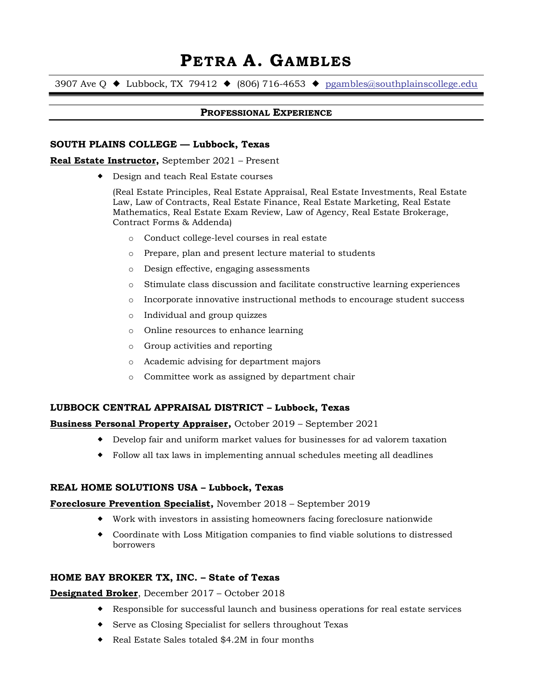# PETRA A. GAMBLES

3907 Ave Q  $\blacklozenge$  Lubbock, TX 79412  $\blacklozenge$  (806) 716-4653  $\blacklozenge$  pgambles@southplainscollege.edu

#### PROFESSIONAL EXPERIENCE

#### SOUTH PLAINS COLLEGE — Lubbock, Texas

#### Real Estate Instructor, September 2021 – Present

Design and teach Real Estate courses

(Real Estate Principles, Real Estate Appraisal, Real Estate Investments, Real Estate Law, Law of Contracts, Real Estate Finance, Real Estate Marketing, Real Estate Mathematics, Real Estate Exam Review, Law of Agency, Real Estate Brokerage, Contract Forms & Addenda)

- o Conduct college-level courses in real estate
- o Prepare, plan and present lecture material to students
- o Design effective, engaging assessments
- o Stimulate class discussion and facilitate constructive learning experiences
- o Incorporate innovative instructional methods to encourage student success
- o Individual and group quizzes
- o Online resources to enhance learning
- o Group activities and reporting
- o Academic advising for department majors
- o Committee work as assigned by department chair

#### LUBBOCK CENTRAL APPRAISAL DISTRICT – Lubbock, Texas

Business Personal Property Appraiser, October 2019 – September 2021

- Develop fair and uniform market values for businesses for ad valorem taxation
- Follow all tax laws in implementing annual schedules meeting all deadlines

# REAL HOME SOLUTIONS USA – Lubbock, Texas

#### Foreclosure Prevention Specialist, November 2018 – September 2019

- Work with investors in assisting homeowners facing foreclosure nationwide
- Coordinate with Loss Mitigation companies to find viable solutions to distressed borrowers

#### HOME BAY BROKER TX, INC. – State of Texas

#### Designated Broker, December 2017 – October 2018

- Responsible for successful launch and business operations for real estate services
- Serve as Closing Specialist for sellers throughout Texas
- ◆ Real Estate Sales totaled \$4.2M in four months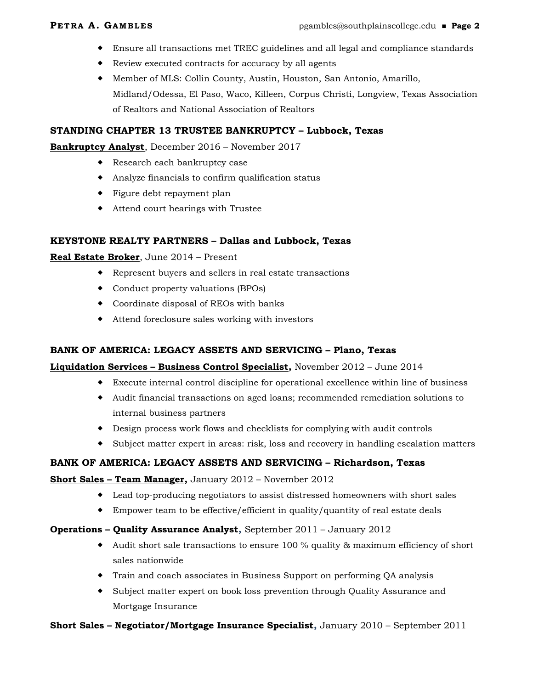- Ensure all transactions met TREC guidelines and all legal and compliance standards
- Review executed contracts for accuracy by all agents
- Member of MLS: Collin County, Austin, Houston, San Antonio, Amarillo, Midland/Odessa, El Paso, Waco, Killeen, Corpus Christi, Longview, Texas Association of Realtors and National Association of Realtors

# STANDING CHAPTER 13 TRUSTEE BANKRUPTCY – Lubbock, Texas

#### Bankruptcy Analyst, December 2016 – November 2017

- ◆ Research each bankruptcy case
- Analyze financials to confirm qualification status
- Figure debt repayment plan
- Attend court hearings with Trustee

# KEYSTONE REALTY PARTNERS – Dallas and Lubbock, Texas

# Real Estate Broker, June 2014 - Present

- Represent buyers and sellers in real estate transactions
- Conduct property valuations (BPOs)
- Coordinate disposal of REOs with banks
- Attend foreclosure sales working with investors

# BANK OF AMERICA: LEGACY ASSETS AND SERVICING – Plano, Texas

# **Liquidation Services – Business Control Specialist, November 2012 – June 2014**

- Execute internal control discipline for operational excellence within line of business
- Audit financial transactions on aged loans; recommended remediation solutions to internal business partners
- Design process work flows and checklists for complying with audit controls
- Subject matter expert in areas: risk, loss and recovery in handling escalation matters

# BANK OF AMERICA: LEGACY ASSETS AND SERVICING – Richardson, Texas

# Short Sales – Team Manager, January 2012 – November 2012

- Lead top-producing negotiators to assist distressed homeowners with short sales
- Empower team to be effective/efficient in quality/quantity of real estate deals

# Operations – Quality Assurance Analyst, September 2011 – January 2012

- Audit short sale transactions to ensure 100 % quality & maximum efficiency of short sales nationwide
- Train and coach associates in Business Support on performing QA analysis
- Subject matter expert on book loss prevention through Quality Assurance and Mortgage Insurance

# Short Sales – Negotiator/Mortgage Insurance Specialist, January 2010 – September 2011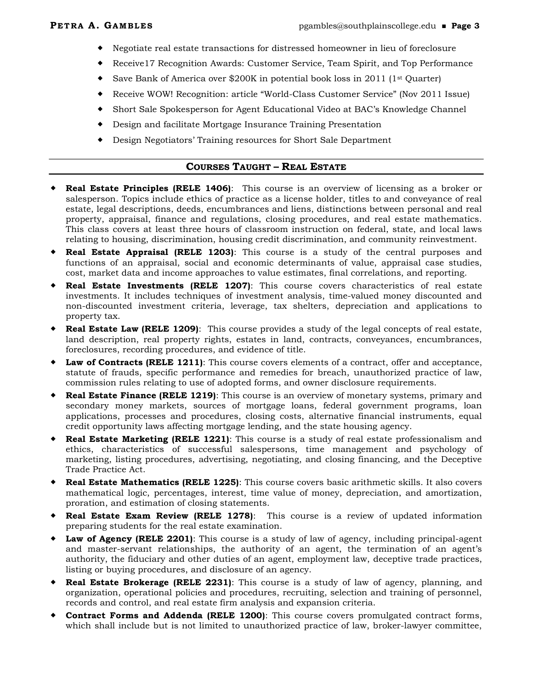- Negotiate real estate transactions for distressed homeowner in lieu of foreclosure
- Receive17 Recognition Awards: Customer Service, Team Spirit, and Top Performance
- Save Bank of America over \$200K in potential book loss in 2011 (1st Quarter)
- Receive WOW! Recognition: article "World-Class Customer Service" (Nov 2011 Issue)
- Short Sale Spokesperson for Agent Educational Video at BAC's Knowledge Channel
- Design and facilitate Mortgage Insurance Training Presentation
- Design Negotiators' Training resources for Short Sale Department

# COURSES TAUGHT – REAL ESTATE

- Real Estate Principles (RELE 1406): This course is an overview of licensing as a broker or salesperson. Topics include ethics of practice as a license holder, titles to and conveyance of real estate, legal descriptions, deeds, encumbrances and liens, distinctions between personal and real property, appraisal, finance and regulations, closing procedures, and real estate mathematics. This class covers at least three hours of classroom instruction on federal, state, and local laws relating to housing, discrimination, housing credit discrimination, and community reinvestment.
- Real Estate Appraisal (RELE 1203): This course is a study of the central purposes and functions of an appraisal, social and economic determinants of value, appraisal case studies, cost, market data and income approaches to value estimates, final correlations, and reporting.
- Real Estate Investments (RELE 1207): This course covers characteristics of real estate investments. It includes techniques of investment analysis, time-valued money discounted and non-discounted investment criteria, leverage, tax shelters, depreciation and applications to property tax.
- **Real Estate Law (RELE 1209)**: This course provides a study of the legal concepts of real estate, land description, real property rights, estates in land, contracts, conveyances, encumbrances, foreclosures, recording procedures, and evidence of title.
- Law of Contracts (RELE 1211): This course covers elements of a contract, offer and acceptance, statute of frauds, specific performance and remedies for breach, unauthorized practice of law, commission rules relating to use of adopted forms, and owner disclosure requirements.
- ◆ Real Estate Finance (RELE 1219): This course is an overview of monetary systems, primary and secondary money markets, sources of mortgage loans, federal government programs, loan applications, processes and procedures, closing costs, alternative financial instruments, equal credit opportunity laws affecting mortgage lending, and the state housing agency.
- **Real Estate Marketing (RELE 1221)**: This course is a study of real estate professionalism and ethics, characteristics of successful salespersons, time management and psychology of marketing, listing procedures, advertising, negotiating, and closing financing, and the Deceptive Trade Practice Act.
- Real Estate Mathematics (RELE 1225): This course covers basic arithmetic skills. It also covers mathematical logic, percentages, interest, time value of money, depreciation, and amortization, proration, and estimation of closing statements.
- Real Estate Exam Review (RELE 1278): This course is a review of updated information preparing students for the real estate examination.
- **Law of Agency (RELE 2201):** This course is a study of law of agency, including principal-agent and master-servant relationships, the authority of an agent, the termination of an agent's authority, the fiduciary and other duties of an agent, employment law, deceptive trade practices, listing or buying procedures, and disclosure of an agency.
- Real Estate Brokerage (RELE 2231): This course is a study of law of agency, planning, and organization, operational policies and procedures, recruiting, selection and training of personnel, records and control, and real estate firm analysis and expansion criteria.
- Contract Forms and Addenda (RELE 1200): This course covers promulgated contract forms, which shall include but is not limited to unauthorized practice of law, broker-lawyer committee,